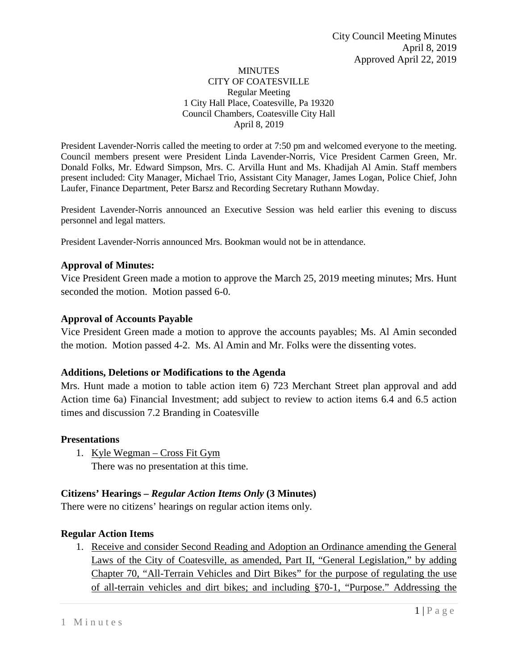#### **MINUTES** CITY OF COATESVILLE Regular Meeting 1 City Hall Place, Coatesville, Pa 19320 Council Chambers, Coatesville City Hall April 8, 2019

President Lavender-Norris called the meeting to order at 7:50 pm and welcomed everyone to the meeting. Council members present were President Linda Lavender-Norris, Vice President Carmen Green, Mr. Donald Folks, Mr. Edward Simpson, Mrs. C. Arvilla Hunt and Ms. Khadijah Al Amin. Staff members present included: City Manager, Michael Trio, Assistant City Manager, James Logan, Police Chief, John Laufer, Finance Department, Peter Barsz and Recording Secretary Ruthann Mowday.

President Lavender-Norris announced an Executive Session was held earlier this evening to discuss personnel and legal matters.

President Lavender-Norris announced Mrs. Bookman would not be in attendance.

### **Approval of Minutes:**

Vice President Green made a motion to approve the March 25, 2019 meeting minutes; Mrs. Hunt seconded the motion. Motion passed 6-0.

### **Approval of Accounts Payable**

Vice President Green made a motion to approve the accounts payables; Ms. Al Amin seconded the motion. Motion passed 4-2. Ms. Al Amin and Mr. Folks were the dissenting votes.

### **Additions, Deletions or Modifications to the Agenda**

Mrs. Hunt made a motion to table action item 6) 723 Merchant Street plan approval and add Action time 6a) Financial Investment; add subject to review to action items 6.4 and 6.5 action times and discussion 7.2 Branding in Coatesville

### **Presentations**

1. Kyle Wegman – Cross Fit Gym There was no presentation at this time.

### **Citizens' Hearings –** *Regular Action Items Only* **(3 Minutes)**

There were no citizens' hearings on regular action items only.

## **Regular Action Items**

1. Receive and consider Second Reading and Adoption an Ordinance amending the General Laws of the City of Coatesville, as amended, Part II, "General Legislation," by adding Chapter 70, "All-Terrain Vehicles and Dirt Bikes" for the purpose of regulating the use of all-terrain vehicles and dirt bikes; and including §70-1, "Purpose." Addressing the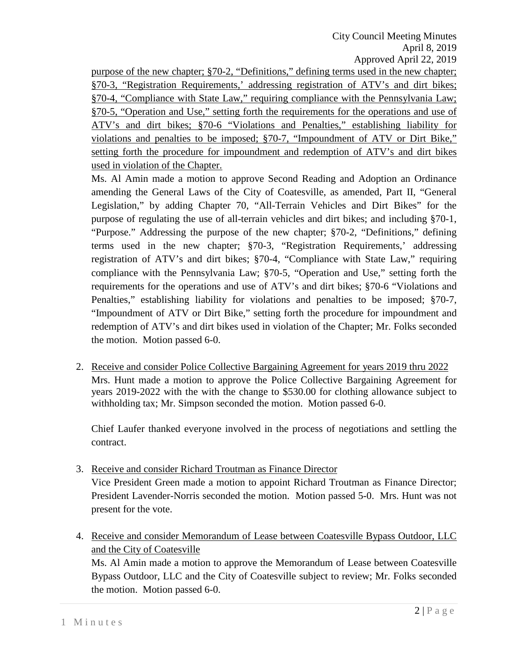City Council Meeting Minutes April 8, 2019 Approved April 22, 2019

purpose of the new chapter; §70-2, "Definitions," defining terms used in the new chapter; §70-3, "Registration Requirements,' addressing registration of ATV's and dirt bikes; §70-4, "Compliance with State Law," requiring compliance with the Pennsylvania Law; §70-5, "Operation and Use," setting forth the requirements for the operations and use of ATV's and dirt bikes; §70-6 "Violations and Penalties," establishing liability for violations and penalties to be imposed; §70-7, "Impoundment of ATV or Dirt Bike," setting forth the procedure for impoundment and redemption of ATV's and dirt bikes used in violation of the Chapter.

Ms. Al Amin made a motion to approve Second Reading and Adoption an Ordinance amending the General Laws of the City of Coatesville, as amended, Part II, "General Legislation," by adding Chapter 70, "All-Terrain Vehicles and Dirt Bikes" for the purpose of regulating the use of all-terrain vehicles and dirt bikes; and including §70-1, "Purpose." Addressing the purpose of the new chapter; §70-2, "Definitions," defining terms used in the new chapter; §70-3, "Registration Requirements,' addressing registration of ATV's and dirt bikes; §70-4, "Compliance with State Law," requiring compliance with the Pennsylvania Law; §70-5, "Operation and Use," setting forth the requirements for the operations and use of ATV's and dirt bikes; §70-6 "Violations and Penalties," establishing liability for violations and penalties to be imposed; §70-7, "Impoundment of ATV or Dirt Bike," setting forth the procedure for impoundment and redemption of ATV's and dirt bikes used in violation of the Chapter; Mr. Folks seconded the motion. Motion passed 6-0.

2. Receive and consider Police Collective Bargaining Agreement for years 2019 thru 2022 Mrs. Hunt made a motion to approve the Police Collective Bargaining Agreement for years 2019-2022 with the with the change to \$530.00 for clothing allowance subject to withholding tax; Mr. Simpson seconded the motion. Motion passed 6-0.

Chief Laufer thanked everyone involved in the process of negotiations and settling the contract.

3. Receive and consider Richard Troutman as Finance Director

Vice President Green made a motion to appoint Richard Troutman as Finance Director; President Lavender-Norris seconded the motion. Motion passed 5-0. Mrs. Hunt was not present for the vote.

4. Receive and consider Memorandum of Lease between Coatesville Bypass Outdoor, LLC and the City of Coatesville

Ms. Al Amin made a motion to approve the Memorandum of Lease between Coatesville Bypass Outdoor, LLC and the City of Coatesville subject to review; Mr. Folks seconded the motion. Motion passed 6-0.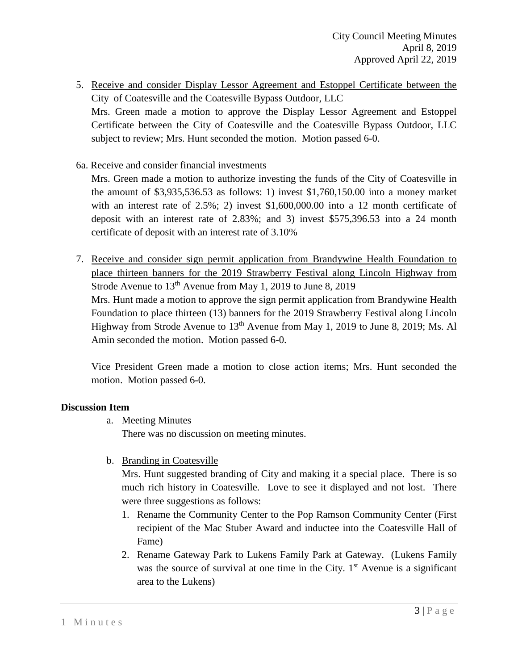- 5. Receive and consider Display Lessor Agreement and Estoppel Certificate between the City of Coatesville and the Coatesville Bypass Outdoor, LLC Mrs. Green made a motion to approve the Display Lessor Agreement and Estoppel Certificate between the City of Coatesville and the Coatesville Bypass Outdoor, LLC subject to review; Mrs. Hunt seconded the motion. Motion passed 6-0.
- 6a. Receive and consider financial investments

Mrs. Green made a motion to authorize investing the funds of the City of Coatesville in the amount of \$3,935,536.53 as follows: 1) invest \$1,760,150.00 into a money market with an interest rate of 2.5%; 2) invest \$1,600,000.00 into a 12 month certificate of deposit with an interest rate of 2.83%; and 3) invest \$575,396.53 into a 24 month certificate of deposit with an interest rate of 3.10%

7. Receive and consider sign permit application from Brandywine Health Foundation to place thirteen banners for the 2019 Strawberry Festival along Lincoln Highway from Strode Avenue to  $13<sup>th</sup>$  Avenue from May 1, 2019 to June 8, 2019

Mrs. Hunt made a motion to approve the sign permit application from Brandywine Health Foundation to place thirteen (13) banners for the 2019 Strawberry Festival along Lincoln Highway from Strode Avenue to 13th Avenue from May 1, 2019 to June 8, 2019; Ms. Al Amin seconded the motion. Motion passed 6-0.

Vice President Green made a motion to close action items; Mrs. Hunt seconded the motion. Motion passed 6-0.

# **Discussion Item**

a. Meeting Minutes

There was no discussion on meeting minutes.

b. Branding in Coatesville

Mrs. Hunt suggested branding of City and making it a special place. There is so much rich history in Coatesville. Love to see it displayed and not lost. There were three suggestions as follows:

- 1. Rename the Community Center to the Pop Ramson Community Center (First recipient of the Mac Stuber Award and inductee into the Coatesville Hall of Fame)
- 2. Rename Gateway Park to Lukens Family Park at Gateway. (Lukens Family was the source of survival at one time in the City.  $1<sup>st</sup>$  Avenue is a significant area to the Lukens)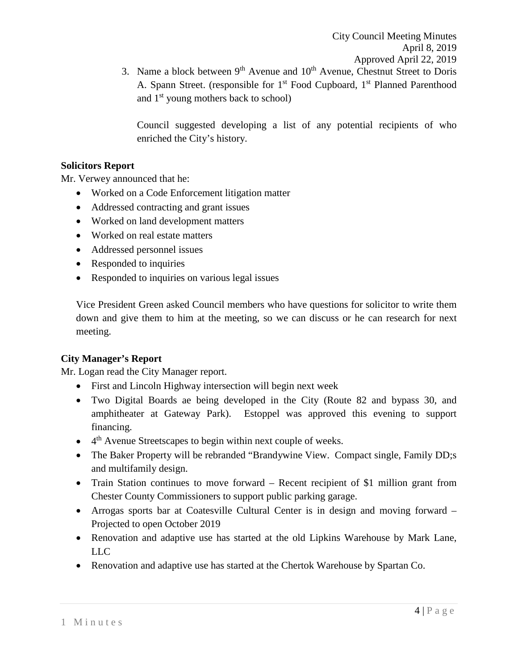3. Name a block between  $9<sup>th</sup>$  Avenue and  $10<sup>th</sup>$  Avenue, Chestnut Street to Doris A. Spann Street. (responsible for  $1<sup>st</sup>$  Food Cupboard,  $1<sup>st</sup>$  Planned Parenthood and 1<sup>st</sup> young mothers back to school)

Council suggested developing a list of any potential recipients of who enriched the City's history.

## **Solicitors Report**

Mr. Verwey announced that he:

- Worked on a Code Enforcement litigation matter
- Addressed contracting and grant issues
- Worked on land development matters
- Worked on real estate matters
- Addressed personnel issues
- Responded to inquiries
- Responded to inquiries on various legal issues

Vice President Green asked Council members who have questions for solicitor to write them down and give them to him at the meeting, so we can discuss or he can research for next meeting.

# **City Manager's Report**

Mr. Logan read the City Manager report.

- First and Lincoln Highway intersection will begin next week
- Two Digital Boards ae being developed in the City (Route 82 and bypass 30, and amphitheater at Gateway Park). Estoppel was approved this evening to support financing.
- $\bullet$  4<sup>th</sup> Avenue Streetscapes to begin within next couple of weeks.
- The Baker Property will be rebranded "Brandywine View. Compact single, Family DD;s and multifamily design.
- Train Station continues to move forward Recent recipient of \$1 million grant from Chester County Commissioners to support public parking garage.
- Arrogas sports bar at Coatesville Cultural Center is in design and moving forward Projected to open October 2019
- Renovation and adaptive use has started at the old Lipkins Warehouse by Mark Lane, LLC
- Renovation and adaptive use has started at the Chertok Warehouse by Spartan Co.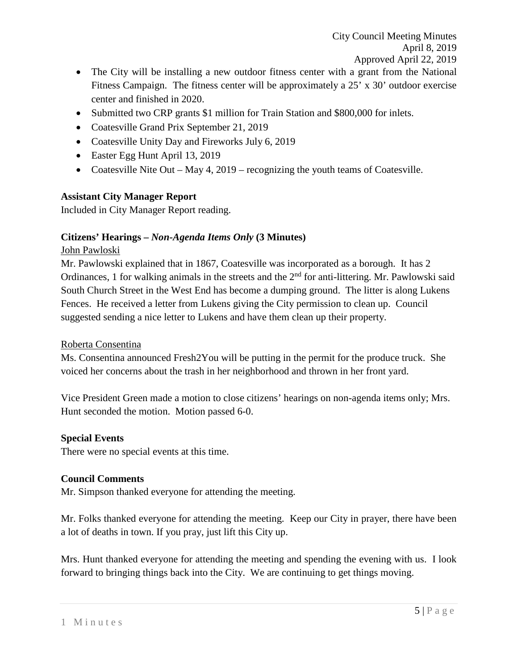- The City will be installing a new outdoor fitness center with a grant from the National Fitness Campaign. The fitness center will be approximately a 25' x 30' outdoor exercise center and finished in 2020.
- Submitted two CRP grants \$1 million for Train Station and \$800,000 for inlets.
- Coatesville Grand Prix September 21, 2019
- Coatesville Unity Day and Fireworks July 6, 2019
- Easter Egg Hunt April 13, 2019
- Coatesville Nite Out May 4, 2019 recognizing the youth teams of Coatesville.

## **Assistant City Manager Report**

Included in City Manager Report reading.

## **Citizens' Hearings –** *Non-Agenda Items Only* **(3 Minutes)**

## John Pawloski

Mr. Pawlowski explained that in 1867, Coatesville was incorporated as a borough. It has 2 Ordinances, 1 for walking animals in the streets and the 2<sup>nd</sup> for anti-littering. Mr. Pawlowski said South Church Street in the West End has become a dumping ground. The litter is along Lukens Fences. He received a letter from Lukens giving the City permission to clean up. Council suggested sending a nice letter to Lukens and have them clean up their property.

## Roberta Consentina

Ms. Consentina announced Fresh2You will be putting in the permit for the produce truck. She voiced her concerns about the trash in her neighborhood and thrown in her front yard.

Vice President Green made a motion to close citizens' hearings on non-agenda items only; Mrs. Hunt seconded the motion. Motion passed 6-0.

## **Special Events**

There were no special events at this time.

## **Council Comments**

Mr. Simpson thanked everyone for attending the meeting.

Mr. Folks thanked everyone for attending the meeting. Keep our City in prayer, there have been a lot of deaths in town. If you pray, just lift this City up.

Mrs. Hunt thanked everyone for attending the meeting and spending the evening with us. I look forward to bringing things back into the City. We are continuing to get things moving.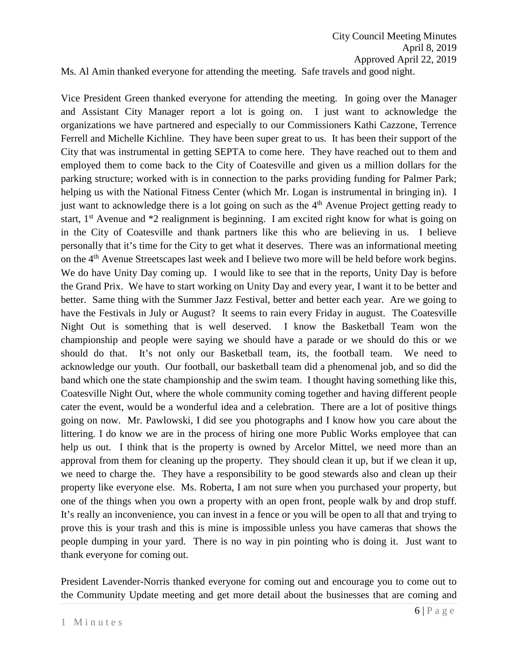Ms. Al Amin thanked everyone for attending the meeting. Safe travels and good night.

Vice President Green thanked everyone for attending the meeting. In going over the Manager and Assistant City Manager report a lot is going on. I just want to acknowledge the organizations we have partnered and especially to our Commissioners Kathi Cazzone, Terrence Ferrell and Michelle Kichline. They have been super great to us. It has been their support of the City that was instrumental in getting SEPTA to come here. They have reached out to them and employed them to come back to the City of Coatesville and given us a million dollars for the parking structure; worked with is in connection to the parks providing funding for Palmer Park; helping us with the National Fitness Center (which Mr. Logan is instrumental in bringing in). I just want to acknowledge there is a lot going on such as the  $4<sup>th</sup>$  Avenue Project getting ready to start,  $1<sup>st</sup>$  Avenue and  $*2$  realignment is beginning. I am excited right know for what is going on in the City of Coatesville and thank partners like this who are believing in us. I believe personally that it's time for the City to get what it deserves. There was an informational meeting on the 4<sup>th</sup> Avenue Streetscapes last week and I believe two more will be held before work begins. We do have Unity Day coming up. I would like to see that in the reports, Unity Day is before the Grand Prix. We have to start working on Unity Day and every year, I want it to be better and better. Same thing with the Summer Jazz Festival, better and better each year. Are we going to have the Festivals in July or August? It seems to rain every Friday in august. The Coatesville Night Out is something that is well deserved. I know the Basketball Team won the championship and people were saying we should have a parade or we should do this or we should do that. It's not only our Basketball team, its, the football team. We need to acknowledge our youth. Our football, our basketball team did a phenomenal job, and so did the band which one the state championship and the swim team. I thought having something like this, Coatesville Night Out, where the whole community coming together and having different people cater the event, would be a wonderful idea and a celebration. There are a lot of positive things going on now. Mr. Pawlowski, I did see you photographs and I know how you care about the littering. I do know we are in the process of hiring one more Public Works employee that can help us out. I think that is the property is owned by Arcelor Mittel, we need more than an approval from them for cleaning up the property. They should clean it up, but if we clean it up, we need to charge the. They have a responsibility to be good stewards also and clean up their property like everyone else. Ms. Roberta, I am not sure when you purchased your property, but one of the things when you own a property with an open front, people walk by and drop stuff. It's really an inconvenience, you can invest in a fence or you will be open to all that and trying to prove this is your trash and this is mine is impossible unless you have cameras that shows the people dumping in your yard. There is no way in pin pointing who is doing it. Just want to thank everyone for coming out.

President Lavender-Norris thanked everyone for coming out and encourage you to come out to the Community Update meeting and get more detail about the businesses that are coming and